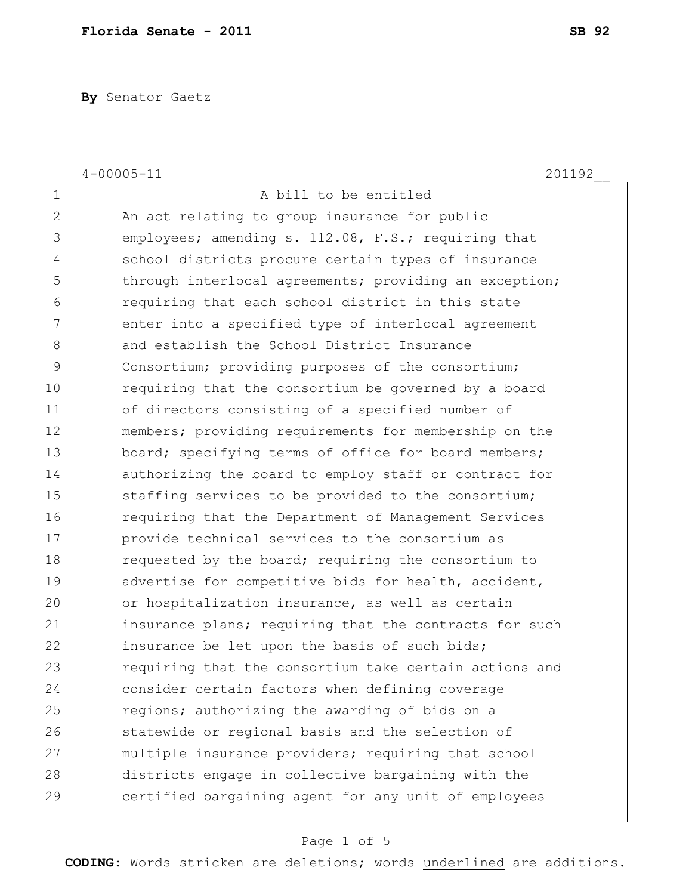**By** Senator Gaetz

|                | $4 - 00005 - 11$<br>201192                             |
|----------------|--------------------------------------------------------|
| $\mathbf 1$    | A bill to be entitled                                  |
| $\overline{2}$ | An act relating to group insurance for public          |
| 3              | employees; amending s. 112.08, F.S.; requiring that    |
| 4              | school districts procure certain types of insurance    |
| 5              | through interlocal agreements; providing an exception; |
| 6              | requiring that each school district in this state      |
| 7              | enter into a specified type of interlocal agreement    |
| 8              | and establish the School District Insurance            |
| 9              | Consortium; providing purposes of the consortium;      |
| 10             | requiring that the consortium be governed by a board   |
| 11             | of directors consisting of a specified number of       |
| 12             | members; providing requirements for membership on the  |
| 13             | board; specifying terms of office for board members;   |
| 14             | authorizing the board to employ staff or contract for  |
| 15             | staffing services to be provided to the consortium;    |
| 16             | requiring that the Department of Management Services   |
| 17             | provide technical services to the consortium as        |
| 18             | requested by the board; requiring the consortium to    |
| 19             | advertise for competitive bids for health, accident,   |
| 20             | or hospitalization insurance, as well as certain       |
| 21             | insurance plans; requiring that the contracts for such |
| 22             | insurance be let upon the basis of such bids;          |
| 23             | requiring that the consortium take certain actions and |
| 24             | consider certain factors when defining coverage        |
| 25             | regions; authorizing the awarding of bids on a         |
| 26             | statewide or regional basis and the selection of       |
| 27             | multiple insurance providers; requiring that school    |
| 28             | districts engage in collective bargaining with the     |
| 29             | certified bargaining agent for any unit of employees   |
|                |                                                        |

## Page 1 of 5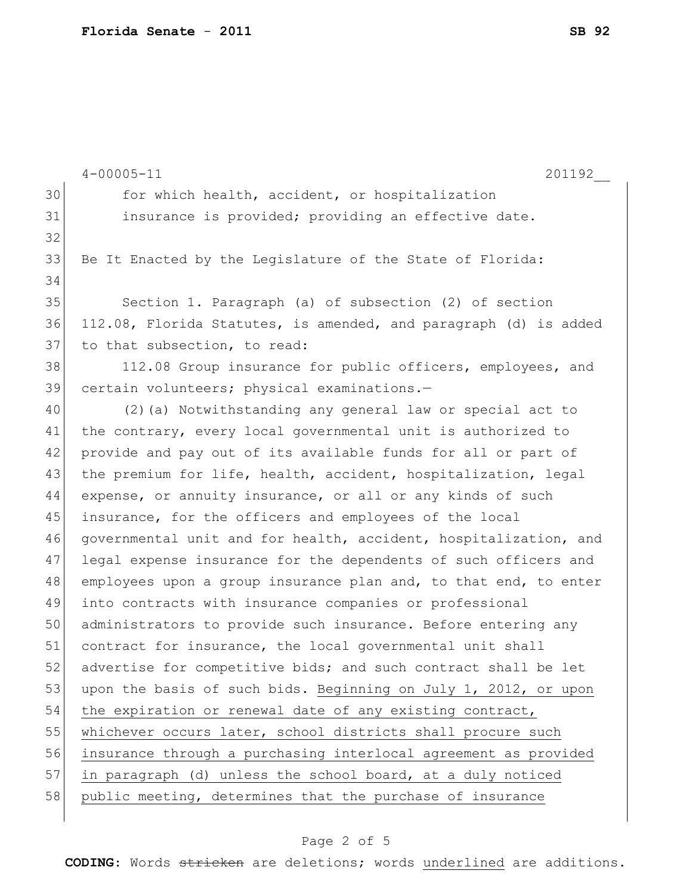|    | $4 - 00005 - 11$<br>201192                                       |
|----|------------------------------------------------------------------|
| 30 | for which health, accident, or hospitalization                   |
| 31 | insurance is provided; providing an effective date.              |
| 32 |                                                                  |
| 33 | Be It Enacted by the Legislature of the State of Florida:        |
| 34 |                                                                  |
| 35 | Section 1. Paragraph (a) of subsection (2) of section            |
| 36 | 112.08, Florida Statutes, is amended, and paragraph (d) is added |
| 37 | to that subsection, to read:                                     |
| 38 | 112.08 Group insurance for public officers, employees, and       |
| 39 | certain volunteers; physical examinations.-                      |
| 40 | (2) (a) Notwithstanding any general law or special act to        |
| 41 | the contrary, every local governmental unit is authorized to     |
| 42 | provide and pay out of its available funds for all or part of    |
| 43 | the premium for life, health, accident, hospitalization, legal   |
| 44 | expense, or annuity insurance, or all or any kinds of such       |
| 45 | insurance, for the officers and employees of the local           |
| 46 | governmental unit and for health, accident, hospitalization, and |
| 47 | legal expense insurance for the dependents of such officers and  |
| 48 | employees upon a group insurance plan and, to that end, to enter |
| 49 | into contracts with insurance companies or professional          |
| 50 | administrators to provide such insurance. Before entering any    |
| 51 | contract for insurance, the local governmental unit shall        |
| 52 | advertise for competitive bids; and such contract shall be let   |
| 53 | upon the basis of such bids. Beginning on July 1, 2012, or upon  |
| 54 | the expiration or renewal date of any existing contract,         |
| 55 | whichever occurs later, school districts shall procure such      |
| 56 | insurance through a purchasing interlocal agreement as provided  |
| 57 | in paragraph (d) unless the school board, at a duly noticed      |
| 58 | public meeting, determines that the purchase of insurance        |
|    |                                                                  |

## Page 2 of 5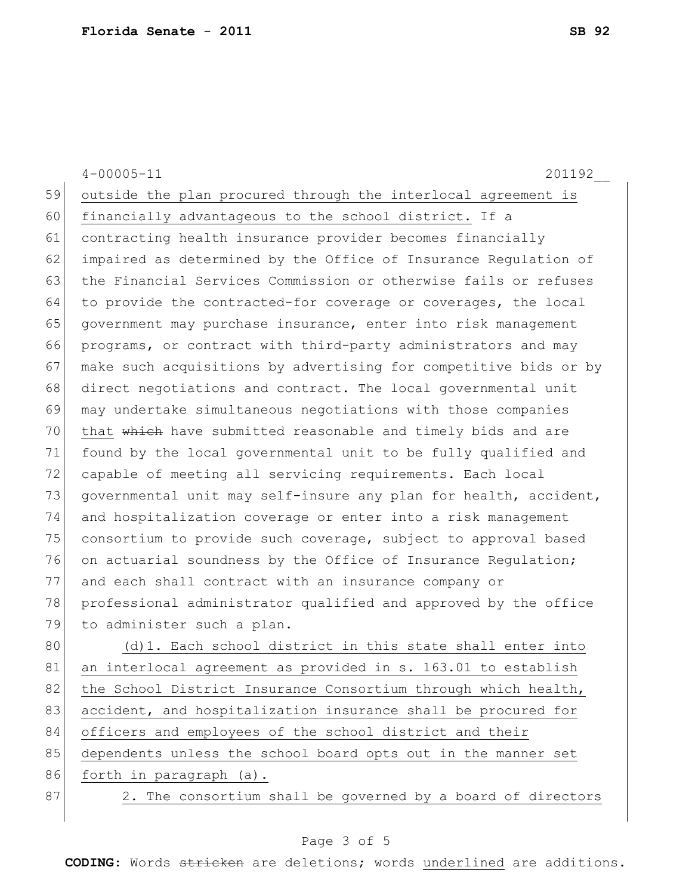|    | $4 - 00005 - 11$<br>201192                                       |
|----|------------------------------------------------------------------|
| 59 | outside the plan procured through the interlocal agreement is    |
| 60 | financially advantageous to the school district. If a            |
| 61 | contracting health insurance provider becomes financially        |
| 62 | impaired as determined by the Office of Insurance Regulation of  |
| 63 | the Financial Services Commission or otherwise fails or refuses  |
| 64 | to provide the contracted-for coverage or coverages, the local   |
| 65 | government may purchase insurance, enter into risk management    |
| 66 | programs, or contract with third-party administrators and may    |
| 67 | make such acquisitions by advertising for competitive bids or by |
| 68 | direct negotiations and contract. The local governmental unit    |
| 69 | may undertake simultaneous negotiations with those companies     |
| 70 | that which have submitted reasonable and timely bids and are     |
| 71 | found by the local governmental unit to be fully qualified and   |
| 72 | capable of meeting all servicing requirements. Each local        |
| 73 | governmental unit may self-insure any plan for health, accident, |
| 74 | and hospitalization coverage or enter into a risk management     |
| 75 | consortium to provide such coverage, subject to approval based   |
| 76 | on actuarial soundness by the Office of Insurance Regulation;    |
| 77 | and each shall contract with an insurance company or             |
| 78 | professional administrator qualified and approved by the office  |
| 79 | to administer such a plan.                                       |
| 80 | (d) 1. Each school district in this state shall enter into       |
| 81 | an interlocal agreement as provided in s. 163.01 to establish    |
| 82 | the School District Insurance Consortium through which health,   |
| 83 | accident, and hospitalization insurance shall be procured for    |
| 84 | officers and employees of the school district and their          |
| 85 | dependents unless the school board opts out in the manner set    |
| 86 | forth in paragraph (a).                                          |
| 87 | 2. The consortium shall be governed by a board of directors      |
|    |                                                                  |

## Page 3 of 5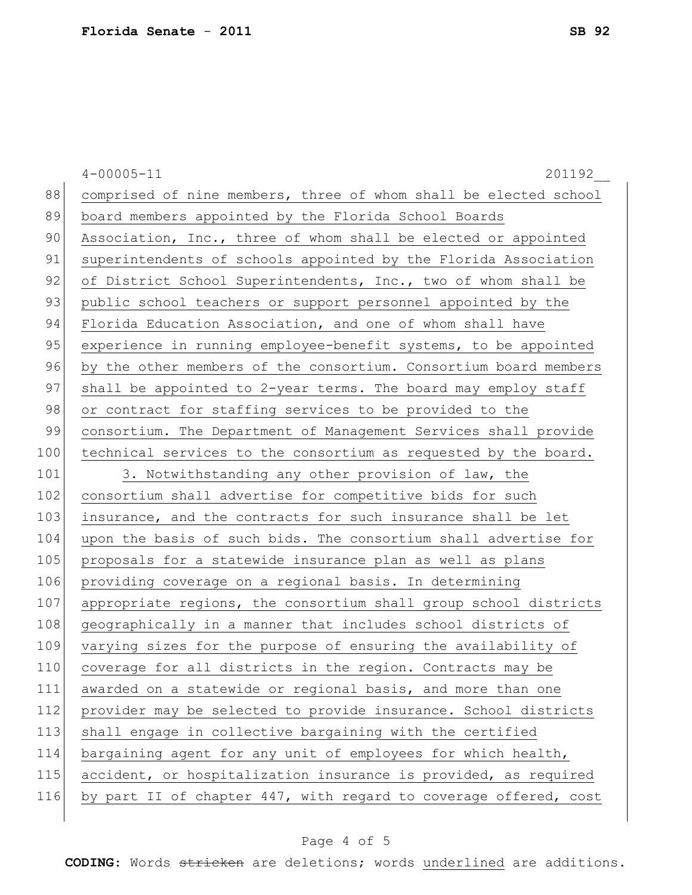|     | $4 - 00005 - 11$<br>201192                                       |
|-----|------------------------------------------------------------------|
| 88  | comprised of nine members, three of whom shall be elected school |
| 89  | board members appointed by the Florida School Boards             |
| 90  | Association, Inc., three of whom shall be elected or appointed   |
| 91  | superintendents of schools appointed by the Florida Association  |
| 92  | of District School Superintendents, Inc., two of whom shall be   |
| 93  | public school teachers or support personnel appointed by the     |
| 94  | Florida Education Association, and one of whom shall have        |
| 95  | experience in running employee-benefit systems, to be appointed  |
| 96  | by the other members of the consortium. Consortium board members |
| 97  | shall be appointed to 2-year terms. The board may employ staff   |
| 98  | or contract for staffing services to be provided to the          |
| 99  | consortium. The Department of Management Services shall provide  |
| 100 | technical services to the consortium as requested by the board.  |
| 101 | 3. Notwithstanding any other provision of law, the               |
| 102 | consortium shall advertise for competitive bids for such         |
| 103 | insurance, and the contracts for such insurance shall be let     |
| 104 | upon the basis of such bids. The consortium shall advertise for  |
| 105 | proposals for a statewide insurance plan as well as plans        |
| 106 | providing coverage on a regional basis. In determining           |
| 107 | appropriate regions, the consortium shall group school districts |
| 108 | geographically in a manner that includes school districts of     |
| 109 | varying sizes for the purpose of ensuring the availability of    |
| 110 | coverage for all districts in the region. Contracts may be       |
| 111 | awarded on a statewide or regional basis, and more than one      |
| 112 | provider may be selected to provide insurance. School districts  |
| 113 | shall engage in collective bargaining with the certified         |
| 114 | bargaining agent for any unit of employees for which health,     |
| 115 | accident, or hospitalization insurance is provided, as required  |
| 116 | by part II of chapter 447, with regard to coverage offered, cost |
|     |                                                                  |

## Page 4 of 5